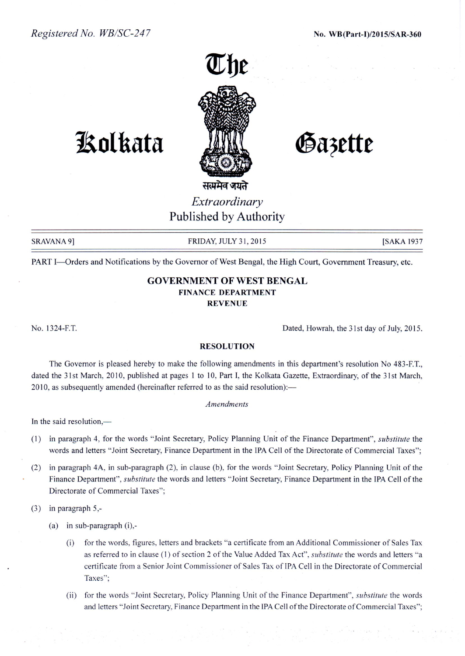

# **1!olkata**

Gazette

*Extraordinary* Published by Authority

SRAVANA 9] FRIDAY, JULY 31, 2015 [SAKA 1937]

PART I-Orders and Notifications by the Governor of West Bengal, the High Court, Government Treasury, etc.

# GOVERNMENT OF WEST BENGAL FINANCE DEPARTMENT REVENUE

No. 1324-F.T. Dated, Howrah, the 31st day of July, 2015.

### RESOLUTION

The Governor is pleased hereby to make the following amendments in this department's resolution No 483-F.T., dated the 31st March, 2010, published at pages 1 to 10, Part I, the Kolkata Gazette, Extraordinary, of the 31st March, 2010, as subsequently amended (hereinafter referred to as the said resolution):-

#### *Amendments*

In the said resolution, $-$ 

- (1) in paragraph 4, for the words "Joint Secretary, Policy Planning Unit of the Finance Department", *substitute* the words and letters "Joint Secretary, Finance Department in the IPA Cell of the Directorate of Commercial Taxes";
- (2) in paragraph 4A, in sub-paragraph (2), in clause (b), for the words "Joint Secretary, Policy Planning Unit of the Finance Department", *substitute* the words and letters "Joint Secretary, Finance Department in the IPA Cell of the Directorate of Commercial Taxes";
- (3) in paragraph 5,-
	- (a) in sub-paragraph (i),-
		- (i) for the words, figures, letters and brackets "a certificate from an Additional Commissioner of Sales Tax as referred to in clause (1) of section 2 of the Value Added Tax Act", *substitute* the words and letters "a certificate from a Senior Joint Commissioner of Sales Tax of IPA Cell in the Directorate of Commercial Taxes";
		- (ii) for the words "Joint Secretary, Policy Planning Unit of the Finance Department", *substitute* the words and letters "Joint Secretary, Finance Department in the IPA Cell of the Directorate of Commercial Taxes";